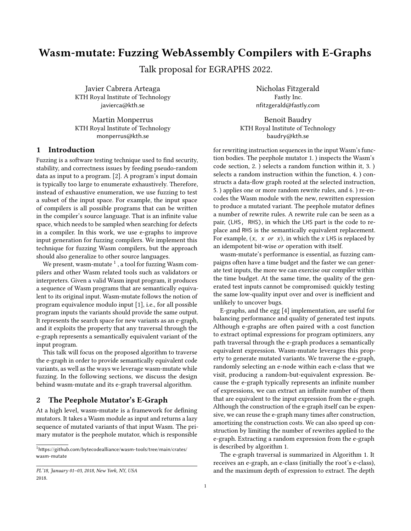# Wasm-mutate: Fuzzing WebAssembly Compilers with E-Graphs

Talk proposal for EGRAPHS 2022.

Javier Cabrera Arteaga KTH Royal Institute of Technology javierca@kth.se

Martin Monperrus KTH Royal Institute of Technology monperrus@kth.se

## 1 Introduction

Fuzzing is a software testing technique used to find security, stability, and correctness issues by feeding pseudo-random data as input to a program. [\[2\]](#page-1-0). A program's input domain is typically too large to enumerate exhaustively. Therefore, instead of exhaustive enumeration, we use fuzzing to test a subset of the input space. For example, the input space of compilers is all possible programs that can be written in the compiler's source language. That is an infinite value space, which needs to be sampled when searching for defects in a compiler. In this work, we use e-graphs to improve input generation for fuzzing compilers. We implement this technique for fuzzing Wasm compilers, but the approach should also generalize to other source languages.

We present, wasm-mutate  $^1$  $^1$  , a tool for fuzzing Wasm compilers and other Wasm related tools such as validators or interpreters. Given a valid Wasm input program, it produces a sequence of Wasm programs that are semantically equivalent to its original input. Wasm-mutate follows the notion of program equivalence modulo input [\[1\]](#page-1-1), i.e., for all possible program inputs the variants should provide the same output. It represents the search space for new variants as an e-graph, and it exploits the property that any traversal through the e-graph represents a semantically equivalent variant of the input program.

This talk will focus on the proposed algorithm to traverse the e-graph in order to provide semantically equivalent code variants, as well as the ways we leverage wasm-mutate while fuzzing. In the following sections, we discuss the design behind wasm-mutate and its e-graph traversal algorithm.

### 2 The Peephole Mutator's E-Graph

At a high level, wasm-mutate is a framework for defining mutators. It takes a Wasm module as input and returns a lazy sequence of mutated variants of that input Wasm. The primary mutator is the peephole mutator, which is responsible

Nicholas Fitzgerald Fastly Inc. nfitzgerald@fastly.com

Benoit Baudry KTH Royal Institute of Technology baudry@kth.se

for rewriting instruction sequences in the input Wasm's function bodies. The peephole mutator 1. ) inspects the Wasm's code section, 2. ) selects a random function within it, 3. ) selects a random instruction within the function, 4. ) constructs a data-flow graph rooted at the selected instruction, 5. ) applies one or more random rewrite rules, and 6. ) re-encodes the Wasm module with the new, rewritten expression to produce a mutated variant. The peephole mutator defines a number of rewrite rules. A rewrite rule can be seen as a pair, (LHS, RHS), in which the LHS part is the code to replace and RHS is the semantically equivalent replacement. For example,  $(x, x \text{ or } x)$ , in which the x LHS is replaced by an idempotent bit-wise or operation with itself.

wasm-mutate's performance is essential, as fuzzing campaigns often have a time budget and the faster we can generate test inputs, the more we can exercise our compiler within the time budget. At the same time, the quality of the generated test inputs cannot be compromised: quickly testing the same low-quality input over and over is inefficient and unlikely to uncover bugs.

E-graphs, and the egg [\[4\]](#page-1-2) implementation, are useful for balancing performance and quality of generated test inputs. Although e-graphs are often paired with a cost function to extract optimal expressions for program optimizers, any path traversal through the e-graph produces a semantically equivalent expression. Wasm-mutate leverages this property to generate mutated variants. We traverse the e-graph, randomly selecting an e-node within each e-class that we visit, producing a random-but-equivalent expression. Because the e-graph typically represents an infinite number of expressions, we can extract an infinite number of them that are equivalent to the input expression from the e-graph. Although the construction of the e-graph itself can be expensive, we can reuse the e-graph many times after construction, amortizing the construction costs. We can also speed up construction by limiting the number of rewrites applied to the e-graph. Extracting a random expression from the e-graph is described by algorithm [1.](#page-1-3)

The e-graph traversal is summarized in Algorithm [1.](#page-1-3) It receives an e-graph, an e-class (initially the root's e-class), and the maximum depth of expression to extract. The depth

<span id="page-0-0"></span><sup>1</sup>[https://github.com/bytecodealliance/wasm-tools/tree/main/crates/](https://github.com/bytecodealliance/wasm-tools/tree/main/crates/wasm-mutate) [wasm-mutate](https://github.com/bytecodealliance/wasm-tools/tree/main/crates/wasm-mutate)

PL'18, January 01–03, 2018, New York, NY, USA 2018.